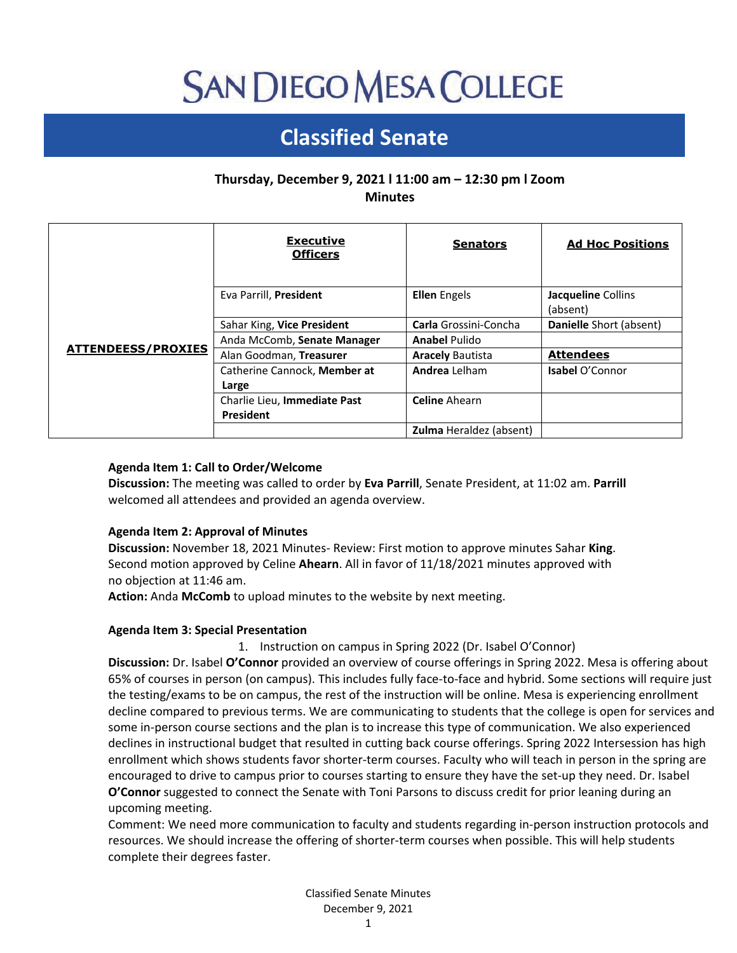# **SAN DIEGO MESA COLLEGE**

## **Classified Senate**

### **Thursday, December 9, 2021 l 11:00 am – 12:30 pm l Zoom Minutes**

|                           | <b>Executive</b><br><b>Officers</b>   | <b>Senators</b>                | <b>Ad Hoc Positions</b>        |
|---------------------------|---------------------------------------|--------------------------------|--------------------------------|
| <b>ATTENDEESS/PROXIES</b> | Eva Parrill, President                | <b>Ellen</b> Engels            | Jacqueline Collins<br>(absent) |
|                           | Sahar King, Vice President            | <b>Carla</b> Grossini-Concha   | Danielle Short (absent)        |
|                           | Anda McComb, Senate Manager           | <b>Anabel Pulido</b>           |                                |
|                           | Alan Goodman, Treasurer               | <b>Aracely Bautista</b>        | <b>Attendees</b>               |
|                           | Catherine Cannock, Member at<br>Large | <b>Andrea</b> Lelham           | <b>Isabel O'Connor</b>         |
|                           | Charlie Lieu, Immediate Past          | <b>Celine</b> Ahearn           |                                |
|                           | <b>President</b>                      |                                |                                |
|                           |                                       | <b>Zulma</b> Heraldez (absent) |                                |

#### **Agenda Item 1: Call to Order/Welcome**

**Discussion:** The meeting was called to order by **Eva Parrill**, Senate President, at 11:02 am. **Parrill** welcomed all attendees and provided an agenda overview.

#### **Agenda Item 2: Approval of Minutes**

**Discussion:** November 18, 2021 Minutes- Review: First motion to approve minutes Sahar **King**. Second motion approved by Celine **Ahearn**. All in favor of 11/18/2021 minutes approved with no objection at 11:46 am.

**Action:** Anda **McComb** to upload minutes to the website by next meeting.

#### **Agenda Item 3: Special Presentation**

1. Instruction on campus in Spring 2022 (Dr. Isabel O'Connor)

**Discussion:** Dr. Isabel **O'Connor** provided an overview of course offerings in Spring 2022. Mesa is offering about 65% of courses in person (on campus). This includes fully face-to-face and hybrid. Some sections will require just the testing/exams to be on campus, the rest of the instruction will be online. Mesa is experiencing enrollment decline compared to previous terms. We are communicating to students that the college is open for services and some in-person course sections and the plan is to increase this type of communication. We also experienced declines in instructional budget that resulted in cutting back course offerings. Spring 2022 Intersession has high enrollment which shows students favor shorter-term courses. Faculty who will teach in person in the spring are encouraged to drive to campus prior to courses starting to ensure they have the set-up they need. Dr. Isabel **O'Connor** suggested to connect the Senate with Toni Parsons to discuss credit for prior leaning during an upcoming meeting.

Comment: We need more communication to faculty and students regarding in-person instruction protocols and resources. We should increase the offering of shorter-term courses when possible. This will help students complete their degrees faster.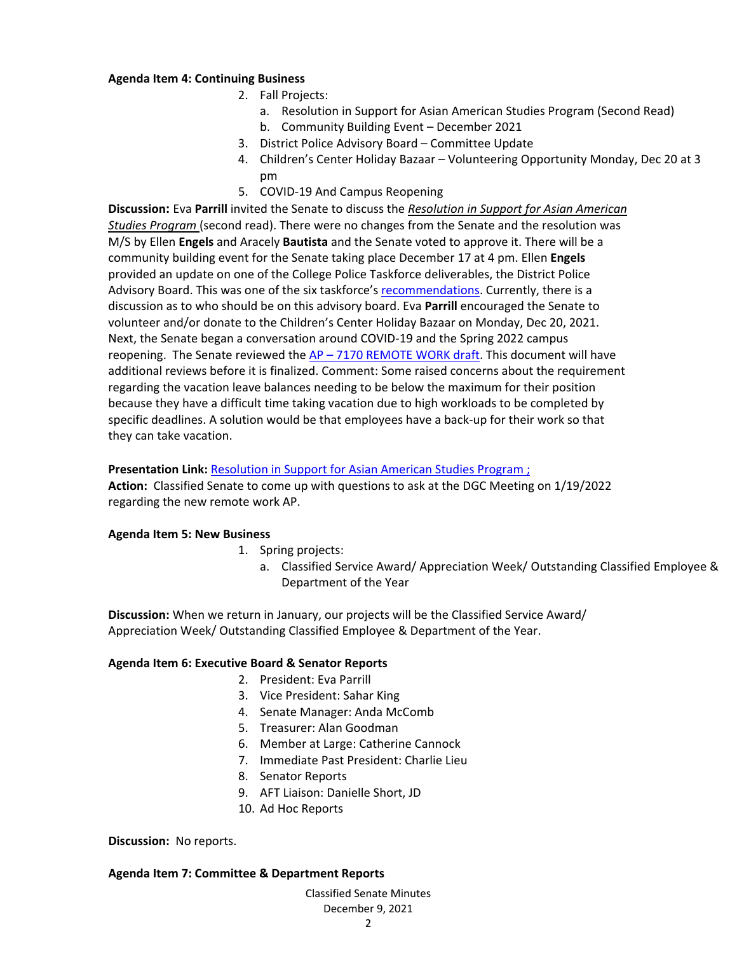#### **Agenda Item 4: Continuing Business**

- 2. Fall Projects:
	- a. Resolution in Support for Asian American Studies Program (Second Read)
	- b. Community Building Event December 2021
- 3. District Police Advisory Board Committee Update
- 4. Children's Center Holiday Bazaar Volunteering Opportunity Monday, Dec 20 at 3 pm
- 5. COVID-19 And Campus Reopening

**Discussion:** Eva **Parrill** invited the Senate to discuss the *Resolution in Support for Asian American Studies Program* (second read). There were no changes from the Senate and the resolution was M/S by Ellen **Engels** and Aracely **Bautista** and the Senate voted to approve it. There will be a community building event for the Senate taking place December 17 at 4 pm. Ellen **Engels** provided an update on one of the College Police Taskforce deliverables, the District Police Advisory Board. This was one of the six taskforce's [recommendations.](https://drive.google.com/file/d/12Sq4faq_3keRC3joflTrRZ7RlgnsiXxd/view?usp=sharing) Currently, there is a discussion as to who should be on this advisory board. Eva **Parrill** encouraged the Senate to volunteer and/or donate to the Children's Center Holiday Bazaar on Monday, Dec 20, 2021. Next, the Senate began a conversation around COVID-19 and the Spring 2022 campus reopening. The Senate reviewed the  $AP - 7170$  REMOTE WORK draft. This document will have additional reviews before it is finalized. Comment: Some raised concerns about the requirement regarding the vacation leave balances needing to be below the maximum for their position because they have a difficult time taking vacation due to high workloads to be completed by specific deadlines. A solution would be that employees have a back-up for their work so that they can take vacation.

#### **Presentation Link: [Resolution in Support for Asian American Studies Program](https://docs.google.com/document/d/1J-DkjQ4UjTuU6RWtbT2soa9j2PMKpKBpAyEp-uSYtKc/edit?usp=sharing);**

**Action:** Classified Senate to come up with questions to ask at the DGC Meeting on 1/19/2022 regarding the new remote work AP.

#### **Agenda Item 5: New Business**

1. Spring projects:

a. Classified Service Award/ Appreciation Week/ Outstanding Classified Employee & Department of the Year

**Discussion:** When we return in January, our projects will be the Classified Service Award/ Appreciation Week/ Outstanding Classified Employee & Department of the Year.

#### **Agenda Item 6: Executive Board & Senator Reports**

- 2. President: Eva Parrill
- 3. Vice President: Sahar King
- 4. Senate Manager: Anda McComb
- 5. Treasurer: Alan Goodman
- 6. Member at Large: Catherine Cannock
- 7. Immediate Past President: Charlie Lieu
- 8. Senator Reports
- 9. AFT Liaison: Danielle Short, JD
- 10. Ad Hoc Reports

**Discussion:** No reports.

#### **Agenda Item 7: Committee & Department Reports**

Classified Senate Minutes December 9, 2021